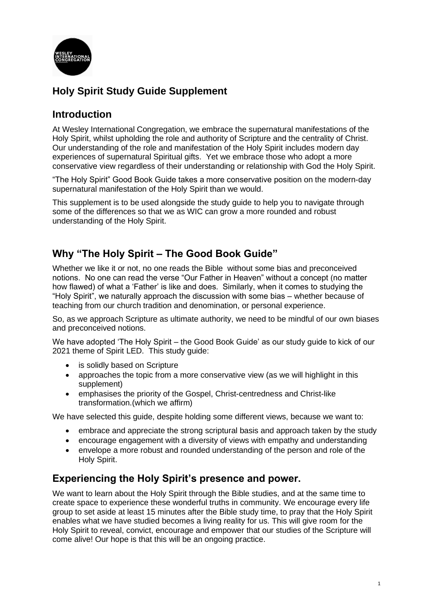

# **Holy Spirit Study Guide Supplement**

# **Introduction**

At Wesley International Congregation, we embrace the supernatural manifestations of the Holy Spirit, whilst upholding the role and authority of Scripture and the centrality of Christ. Our understanding of the role and manifestation of the Holy Spirit includes modern day experiences of supernatural Spiritual gifts. Yet we embrace those who adopt a more conservative view regardless of their understanding or relationship with God the Holy Spirit.

"The Holy Spirit" Good Book Guide takes a more conservative position on the modern-day supernatural manifestation of the Holy Spirit than we would.

This supplement is to be used alongside the study guide to help you to navigate through some of the differences so that we as WIC can grow a more rounded and robust understanding of the Holy Spirit.

# **Why "The Holy Spirit – The Good Book Guide"**

Whether we like it or not, no one reads the Bible without some bias and preconceived notions. No one can read the verse "Our Father in Heaven" without a concept (no matter how flawed) of what a 'Father' is like and does. Similarly, when it comes to studying the "Holy Spirit", we naturally approach the discussion with some bias – whether because of teaching from our church tradition and denomination, or personal experience.

So, as we approach Scripture as ultimate authority, we need to be mindful of our own biases and preconceived notions.

We have adopted 'The Holy Spirit – the Good Book Guide' as our study guide to kick of our 2021 theme of Spirit LED. This study guide:

- is solidly based on Scripture
- approaches the topic from a more conservative view (as we will highlight in this supplement)
- emphasises the priority of the Gospel, Christ-centredness and Christ-like transformation.(which we affirm)

We have selected this guide, despite holding some different views, because we want to:

- embrace and appreciate the strong scriptural basis and approach taken by the study
- encourage engagement with a diversity of views with empathy and understanding
- envelope a more robust and rounded understanding of the person and role of the Holy Spirit.

# **Experiencing the Holy Spirit's presence and power.**

We want to learn about the Holy Spirit through the Bible studies, and at the same time to create space to experience these wonderful truths in community. We encourage every life group to set aside at least 15 minutes after the Bible study time, to pray that the Holy Spirit enables what we have studied becomes a living reality for us. This will give room for the Holy Spirit to reveal, convict, encourage and empower that our studies of the Scripture will come alive! Our hope is that this will be an ongoing practice.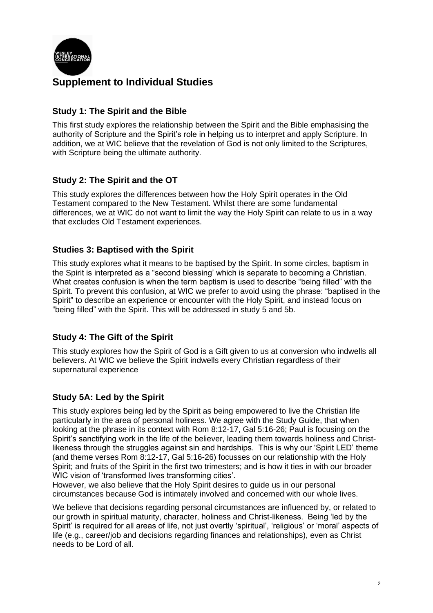

# **Supplement to Individual Studies**

### **Study 1: The Spirit and the Bible**

This first study explores the relationship between the Spirit and the Bible emphasising the authority of Scripture and the Spirit's role in helping us to interpret and apply Scripture. In addition, we at WIC believe that the revelation of God is not only limited to the Scriptures, with Scripture being the ultimate authority.

## **Study 2: The Spirit and the OT**

This study explores the differences between how the Holy Spirit operates in the Old Testament compared to the New Testament. Whilst there are some fundamental differences, we at WIC do not want to limit the way the Holy Spirit can relate to us in a way that excludes Old Testament experiences.

### **Studies 3: Baptised with the Spirit**

This study explores what it means to be baptised by the Spirit. In some circles, baptism in the Spirit is interpreted as a "second blessing' which is separate to becoming a Christian. What creates confusion is when the term baptism is used to describe "being filled" with the Spirit. To prevent this confusion, at WIC we prefer to avoid using the phrase: "baptised in the Spirit" to describe an experience or encounter with the Holy Spirit, and instead focus on "being filled" with the Spirit. This will be addressed in study 5 and 5b.

### **Study 4: The Gift of the Spirit**

This study explores how the Spirit of God is a Gift given to us at conversion who indwells all believers. At WIC we believe the Spirit indwells every Christian regardless of their supernatural experience

# **Study 5A: Led by the Spirit**

This study explores being led by the Spirit as being empowered to live the Christian life particularly in the area of personal holiness. We agree with the Study Guide, that when looking at the phrase in its context with Rom 8:12-17, Gal 5:16-26; Paul is focusing on the Spirit's sanctifying work in the life of the believer, leading them towards holiness and Christlikeness through the struggles against sin and hardships. This is why our 'Spirit LED' theme (and theme verses Rom 8:12-17, Gal 5:16-26) focusses on our relationship with the Holy Spirit; and fruits of the Spirit in the first two trimesters; and is how it ties in with our broader WIC vision of 'transformed lives transforming cities'.

However, we also believe that the Holy Spirit desires to guide us in our personal circumstances because God is intimately involved and concerned with our whole lives.

We believe that decisions regarding personal circumstances are influenced by, or related to our growth in spiritual maturity, character, holiness and Christ-likeness. Being 'led by the Spirit' is required for all areas of life, not just overtly 'spiritual', 'religious' or 'moral' aspects of life (e.g., career/job and decisions regarding finances and relationships), even as Christ needs to be Lord of all.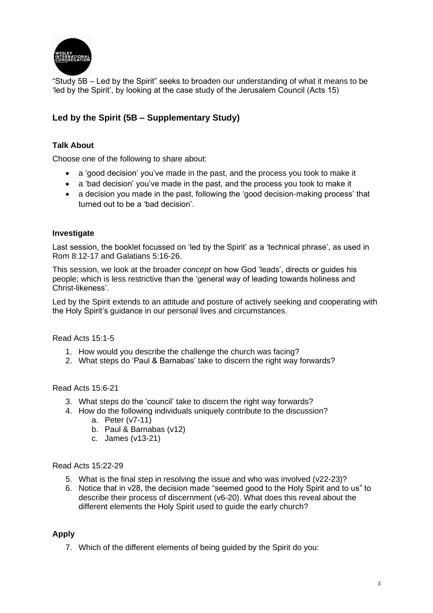

"Study 5B – Led by the Spirit" seeks to broaden our understanding of what it means to be 'led by the Spirit', by looking at the case study of the Jerusalem Council (Acts 15)

### **Led by the Spirit (5B – Supplementary Study)**

#### **Talk About**

Choose one of the following to share about:

- a 'good decision' you've made in the past, and the process you took to make it
- a 'bad decision' you've made in the past, and the process you took to make it
- a decision you made in the past, following the 'good decision-making process' that turned out to be a 'bad decision'.

#### **Investigate**

Last session, the booklet focussed on 'led by the Spirit' as a 'technical phrase', as used in Rom 8:12-17 and Galatians 5:16-26.

This session, we look at the broader *concept* on how God 'leads', directs or guides his people; which is less restrictive than the 'general way of leading towards holiness and Christ-likeness'.

Led by the Spirit extends to an attitude and posture of actively seeking and cooperating with the Holy Spirit's guidance in our personal lives and circumstances.

Read Acts 15:1-5

- 1. How would you describe the challenge the church was facing?
- 2. What steps do 'Paul & Barnabas' take to discern the right way forwards?

Read Acts 15:6-21

- 3. What steps do the 'council' take to discern the right way forwards?
- 4. How do the following individuals uniquely contribute to the discussion?
	- a. Peter (v7-11)
	- b. Paul & Barnabas (v12)
	- c. James (v13-21)

Read Acts 15:22-29

- 5. What is the final step in resolving the issue and who was involved (v22-23)?
- 6. Notice that in v28, the decision made "seemed good to the Holy Spirit and to us" to describe their process of discernment (v6-20). What does this reveal about the different elements the Holy Spirit used to guide the early church?

#### **Apply**

7. Which of the different elements of being guided by the Spirit do you: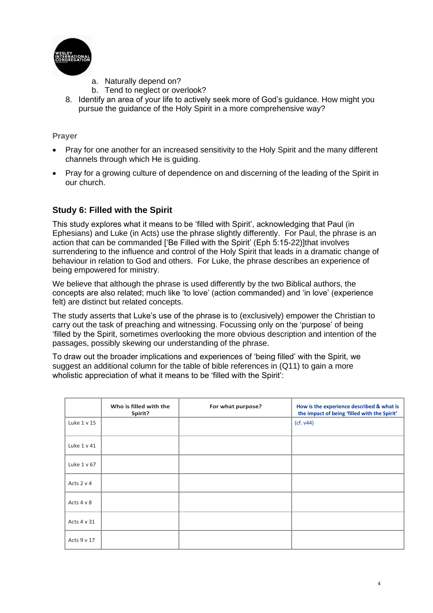

- a. Naturally depend on?
- b. Tend to neglect or overlook?
- 8. Identify an area of your life to actively seek more of God's guidance. How might you pursue the guidance of the Holy Spirit in a more comprehensive way?

#### **Prayer**

- Pray for one another for an increased sensitivity to the Holy Spirit and the many different channels through which He is guiding.
- Pray for a growing culture of dependence on and discerning of the leading of the Spirit in our church.

### **Study 6: Filled with the Spirit**

This study explores what it means to be 'filled with Spirit', acknowledging that Paul (in Ephesians) and Luke (in Acts) use the phrase slightly differently. For Paul, the phrase is an action that can be commanded ['Be Filled with the Spirit' (Eph 5:15-22)]that involves surrendering to the influence and control of the Holy Spirit that leads in a dramatic change of behaviour in relation to God and others. For Luke, the phrase describes an experience of being empowered for ministry.

We believe that although the phrase is used differently by the two Biblical authors, the concepts are also related; much like 'to love' (action commanded) and 'in love' (experience felt) are distinct but related concepts.

The study asserts that Luke's use of the phrase is to (exclusively) empower the Christian to carry out the task of preaching and witnessing. Focussing only on the 'purpose' of being 'filled by the Spirit, sometimes overlooking the more obvious description and intention of the passages, possibly skewing our understanding of the phrase.

To draw out the broader implications and experiences of 'being filled' with the Spirit, we suggest an additional column for the table of bible references in (Q11) to gain a more wholistic appreciation of what it means to be 'filled with the Spirit':

|             | Who is filled with the<br>Spirit? | For what purpose? | How is the experience described & what is<br>the impact of being 'filled with the Spirit' |
|-------------|-----------------------------------|-------------------|-------------------------------------------------------------------------------------------|
| Luke 1 v 15 |                                   |                   | (cf. v44)                                                                                 |
| Luke 1 v 41 |                                   |                   |                                                                                           |
| Luke 1 v 67 |                                   |                   |                                                                                           |
| Acts 2 v 4  |                                   |                   |                                                                                           |
| Acts 4 v 8  |                                   |                   |                                                                                           |
| Acts 4 v 31 |                                   |                   |                                                                                           |
| Acts 9 v 17 |                                   |                   |                                                                                           |